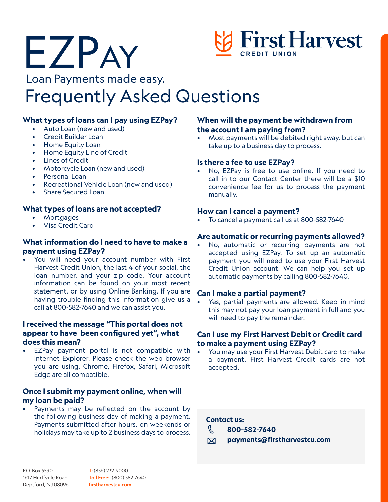

### Loan Payments made easy.

# Frequently Asked Questions

#### **What types of loans can I pay using EZPay?**

• Auto Loan (new and used)

EZPay

- Credit Builder Loan
- Home Equity Loan
- Home Equity Line of Credit
- **Lines of Credit**
- Motorcycle Loan (new and used)
- Personal Loan
- Recreational Vehicle Loan (new and used)
- Share Secured Loan

#### **What types of loans are not accepted?**

- **Mortgages**
- Visa Credit Card

#### **What information do I need to have to make a payment using EZPay?**

• You will need your account number with First Harvest Credit Union, the last 4 of your social, the loan number, and your zip code. Your account information can be found on your most recent statement, or by using Online Banking. If you are having trouble finding this information give us a call at 800-582-7640 and we can assist you.

#### **I received the message "This portal does not appear to have been configured yet", what does this mean?**

EZPay payment portal is not compatible with Internet Explorer. Please check the web browser you are using. Chrome, Firefox, Safari, Microsoft Edge are all compatible.

#### **Once I submit my payment online, when will my loan be paid?**

Payments may be reflected on the account by the following business day of making a payment. Payments submitted after hours, on weekends or holidays may take up to 2 business days to process.

#### **When will the payment be withdrawn from the account I am paying from?**

• Most payments will be debited right away, but can take up to a business day to process.

#### **Is there a fee to use EZPay?**

• No, EZPay is free to use online. If you need to call in to our Contact Center there will be a \$10 convenience fee for us to process the payment manually.

#### **How can I cancel a payment?**

• To cancel a payment call us at 800-582-7640

#### **Are automatic or recurring payments allowed?**

• No, automatic or recurring payments are not accepted using EZPay. To set up an automatic payment you will need to use your First Harvest Credit Union account. We can help you set up automatic payments by calling 800-582-7640.

#### **Can I make a partial payment?**

Yes, partial payments are allowed. Keep in mind this may not pay your loan payment in full and you will need to pay the remainder.

#### **Can I use my First Harvest Debit or Credit card to make a payment using EZPay?**

• You may use your First Harvest Debit card to make a payment. First Harvest Credit cards are not accepted.

#### **Contact us:**

- R. **800-582-7640**
- **payments@firstharvestcu.com**  $\boxtimes$

P.O. Box 5530 1617 Hurffville Road Deptford, NJ 08096